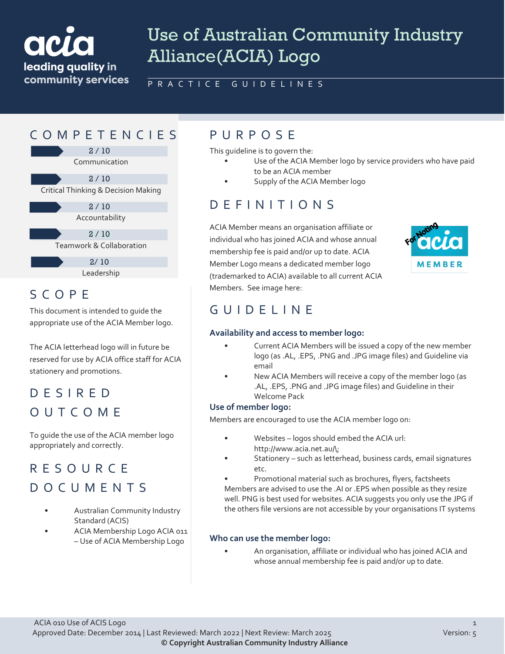

# Use of Australian Community Industry Alliance(ACIA) Logo

PRACTICE GUIDELINES

## COMPETENCIES PURPOS E

Communication 2 / 10 2 / 10

Critical Thinking & Decision Making

Accountability 2 / 10

Teamwork & Collaboration  $2 / 10$ 

> Leadership  $2/10$

## SCOPE

This document is intended to guide the appropriate use of the ACIA Member logo.

The ACIA letterhead logo will in future be reserved for use by ACIA office staff for ACIA stationery and promotions.

# DESIRED OUTCOME

To guide the use of the ACIA member logo appropriately and correctly.

# RESOURCE DOCUMENTS

- Australian Community Industry Standard (ACIS)
- ACIA Membership Logo ACIA 011 – Use of ACIA Membership Logo

This guideline is to govern the:

- Use of the ACIA Member logo by service providers who have paid to be an ACIA member
- Supply of the ACIA Member logo

## DEFINITIONS

ACIA Member means an organisation affiliate or individual who has joined ACIA and whose annual membership fee is paid and/or up to date. ACIA Member Logo means a dedicated member logo (trademarked to ACIA) available to all current ACIA Members. See image here:



## GUIDELINE

#### **Availability and access to member logo:**

- Current ACIA Members will be issued a copy of the new member logo (as .AL, .EPS, .PNG and .JPG image files) and Guideline via email
- New ACIA Members will receive a copy of the member logo (as .AL, .EPS, .PNG and .JPG image files) and Guideline in their Welcome Pack

#### **Use of member logo:**

Members are encouraged to use the ACIA member logo on:

- Websites logos should embed the ACIA url: http://www.acia.net.au/\;
	- Stationery such as letterhead, business cards, email signatures etc.
	- Promotional material such as brochures, flyers, factsheets

Members are advised to use the .AI or .EPS when possible as they resize well. PNG is best used for websites. ACIA suggests you only use the JPG if the others file versions are not accessible by your organisations IT systems

### **Who can use the member logo:**

• An organisation, affiliate or individual who has joined ACIA and whose annual membership fee is paid and/or up to date.